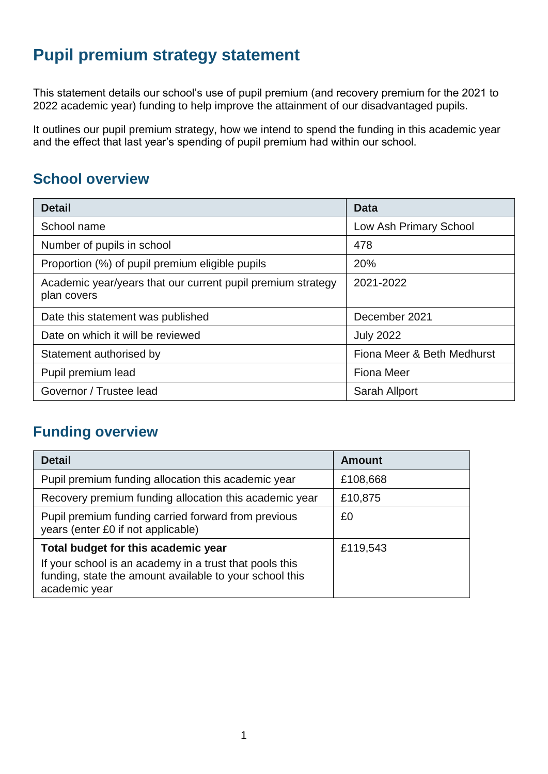# **Pupil premium strategy statement**

This statement details our school's use of pupil premium (and recovery premium for the 2021 to 2022 academic year) funding to help improve the attainment of our disadvantaged pupils.

It outlines our pupil premium strategy, how we intend to spend the funding in this academic year and the effect that last year's spending of pupil premium had within our school.

## **School overview**

| <b>Detail</b>                                                              | <b>Data</b>                |  |  |  |
|----------------------------------------------------------------------------|----------------------------|--|--|--|
| School name                                                                | Low Ash Primary School     |  |  |  |
| Number of pupils in school                                                 | 478                        |  |  |  |
| Proportion (%) of pupil premium eligible pupils                            | 20%                        |  |  |  |
| Academic year/years that our current pupil premium strategy<br>plan covers | 2021-2022                  |  |  |  |
| Date this statement was published                                          | December 2021              |  |  |  |
| Date on which it will be reviewed                                          | <b>July 2022</b>           |  |  |  |
| Statement authorised by                                                    | Fiona Meer & Beth Medhurst |  |  |  |
| Pupil premium lead                                                         | <b>Fiona Meer</b>          |  |  |  |
| Governor / Trustee lead                                                    | Sarah Allport              |  |  |  |

### **Funding overview**

| <b>Detail</b>                                                                                                                       | <b>Amount</b> |
|-------------------------------------------------------------------------------------------------------------------------------------|---------------|
| Pupil premium funding allocation this academic year                                                                                 | £108,668      |
| Recovery premium funding allocation this academic year                                                                              | £10,875       |
| Pupil premium funding carried forward from previous<br>years (enter £0 if not applicable)                                           | £0            |
| Total budget for this academic year                                                                                                 | £119,543      |
| If your school is an academy in a trust that pools this<br>funding, state the amount available to your school this<br>academic year |               |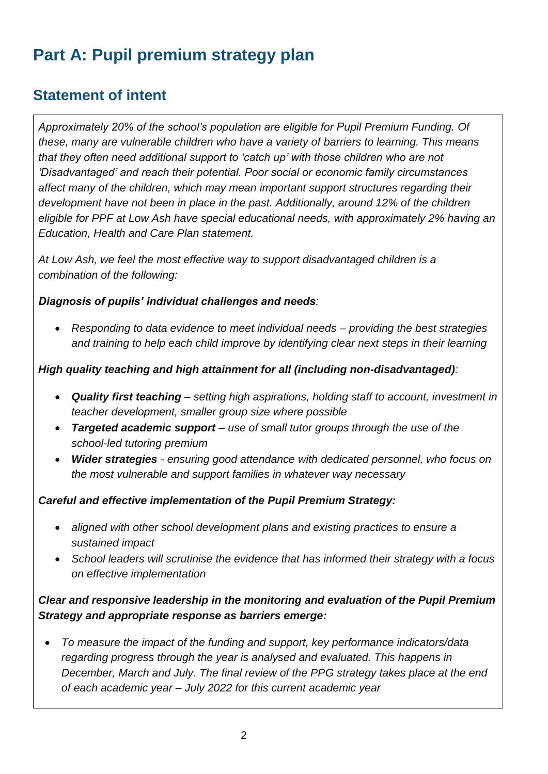# **Part A: Pupil premium strategy plan**

### **Statement of intent**

*Approximately 20% of the school's population are eligible for Pupil Premium Funding. Of these, many are vulnerable children who have a variety of barriers to learning. This means that they often need additional support to 'catch up' with those children who are not 'Disadvantaged' and reach their potential. Poor social or economic family circumstances affect many of the children, which may mean important support structures regarding their development have not been in place in the past. Additionally, around 12% of the children eligible for PPF at Low Ash have special educational needs, with approximately 2% having an Education, Health and Care Plan statement.*

*At Low Ash, we feel the most effective way to support disadvantaged children is a combination of the following:*

#### *Diagnosis of pupils' individual challenges and needs:*

• *Responding to data evidence to meet individual needs – providing the best strategies and training to help each child improve by identifying clear next steps in their learning*

#### *High quality teaching and high attainment for all (including non-disadvantaged):*

- *Quality first teaching – setting high aspirations, holding staff to account, investment in teacher development, smaller group size where possible*
- *Targeted academic support use of small tutor groups through the use of the school-led tutoring premium*
- *Wider strategies - ensuring good attendance with dedicated personnel, who focus on the most vulnerable and support families in whatever way necessary*

#### *Careful and effective implementation of the Pupil Premium Strategy:*

- *aligned with other school development plans and existing practices to ensure a sustained impact*
- *School leaders will scrutinise the evidence that has informed their strategy with a focus on effective implementation*

### *Clear and responsive leadership in the monitoring and evaluation of the Pupil Premium Strategy and appropriate response as barriers emerge:*

• *To measure the impact of the funding and support, key performance indicators/data regarding progress through the year is analysed and evaluated. This happens in December, March and July. The final review of the PPG strategy takes place at the end of each academic year – July 2022 for this current academic year*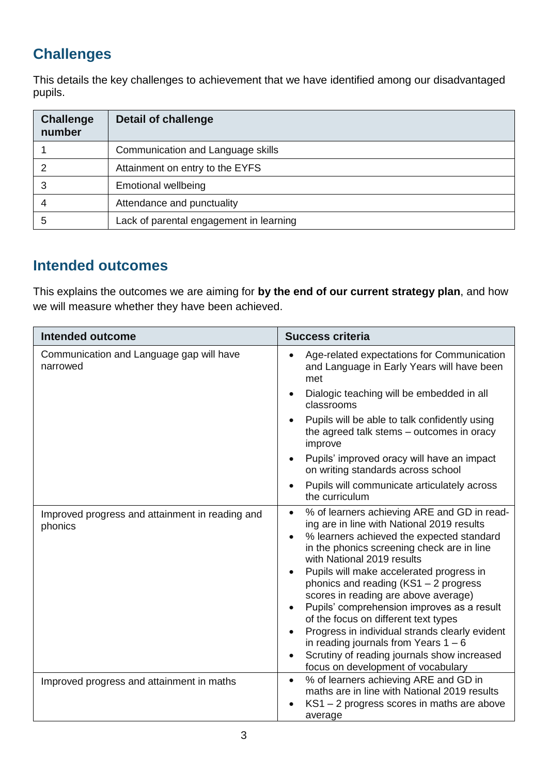## **Challenges**

This details the key challenges to achievement that we have identified among our disadvantaged pupils.

| <b>Challenge</b><br>number | <b>Detail of challenge</b>              |
|----------------------------|-----------------------------------------|
|                            | Communication and Language skills       |
|                            | Attainment on entry to the EYFS         |
|                            | <b>Emotional wellbeing</b>              |
|                            | Attendance and punctuality              |
| 5                          | Lack of parental engagement in learning |

### **Intended outcomes**

This explains the outcomes we are aiming for **by the end of our current strategy plan**, and how we will measure whether they have been achieved.

| <b>Intended outcome</b>                                    | <b>Success criteria</b>                                                                                                                                                                                                                                                                                                                                                                                                                                                                                                                                                                                                             |  |  |  |
|------------------------------------------------------------|-------------------------------------------------------------------------------------------------------------------------------------------------------------------------------------------------------------------------------------------------------------------------------------------------------------------------------------------------------------------------------------------------------------------------------------------------------------------------------------------------------------------------------------------------------------------------------------------------------------------------------------|--|--|--|
| Communication and Language gap will have<br>narrowed       | Age-related expectations for Communication<br>and Language in Early Years will have been<br>met                                                                                                                                                                                                                                                                                                                                                                                                                                                                                                                                     |  |  |  |
|                                                            | Dialogic teaching will be embedded in all<br>classrooms                                                                                                                                                                                                                                                                                                                                                                                                                                                                                                                                                                             |  |  |  |
|                                                            | Pupils will be able to talk confidently using<br>the agreed talk stems - outcomes in oracy<br>improve                                                                                                                                                                                                                                                                                                                                                                                                                                                                                                                               |  |  |  |
|                                                            | Pupils' improved oracy will have an impact<br>on writing standards across school                                                                                                                                                                                                                                                                                                                                                                                                                                                                                                                                                    |  |  |  |
|                                                            | Pupils will communicate articulately across<br>the curriculum                                                                                                                                                                                                                                                                                                                                                                                                                                                                                                                                                                       |  |  |  |
| Improved progress and attainment in reading and<br>phonics | % of learners achieving ARE and GD in read-<br>$\bullet$<br>ing are in line with National 2019 results<br>% learners achieved the expected standard<br>in the phonics screening check are in line<br>with National 2019 results<br>Pupils will make accelerated progress in<br>phonics and reading (KS1 - 2 progress<br>scores in reading are above average)<br>Pupils' comprehension improves as a result<br>of the focus on different text types<br>Progress in individual strands clearly evident<br>in reading journals from Years $1 - 6$<br>Scrutiny of reading journals show increased<br>focus on development of vocabulary |  |  |  |
| Improved progress and attainment in maths                  | % of learners achieving ARE and GD in<br>$\bullet$<br>maths are in line with National 2019 results<br>KS1 - 2 progress scores in maths are above<br>average                                                                                                                                                                                                                                                                                                                                                                                                                                                                         |  |  |  |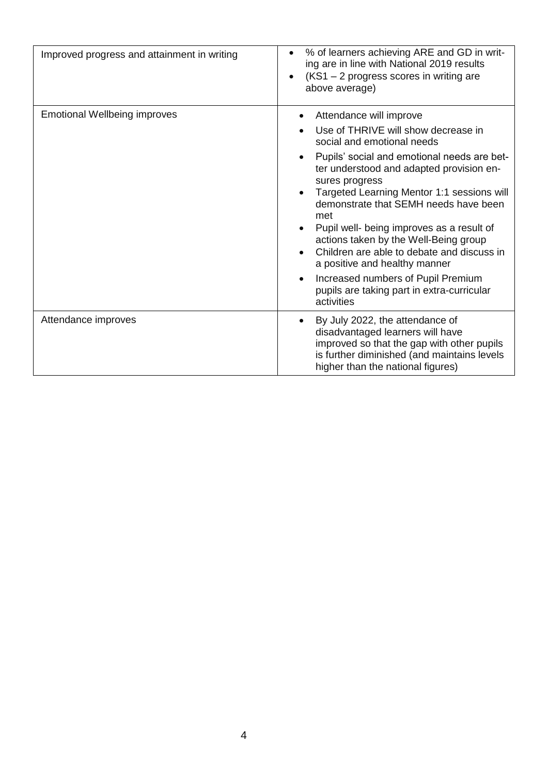| Improved progress and attainment in writing | % of learners achieving ARE and GD in writ-<br>ing are in line with National 2019 results<br>(KS1 - 2 progress scores in writing are<br>above average)                                                                                                                                                                                                                                                                                                                                                                                                           |
|---------------------------------------------|------------------------------------------------------------------------------------------------------------------------------------------------------------------------------------------------------------------------------------------------------------------------------------------------------------------------------------------------------------------------------------------------------------------------------------------------------------------------------------------------------------------------------------------------------------------|
| <b>Emotional Wellbeing improves</b>         | Attendance will improve<br>Use of THRIVE will show decrease in<br>social and emotional needs<br>Pupils' social and emotional needs are bet-<br>ter understood and adapted provision en-<br>sures progress<br>Targeted Learning Mentor 1:1 sessions will<br>demonstrate that SEMH needs have been<br>met<br>Pupil well- being improves as a result of<br>actions taken by the Well-Being group<br>Children are able to debate and discuss in<br>a positive and healthy manner<br>Increased numbers of Pupil Premium<br>pupils are taking part in extra-curricular |
| Attendance improves                         | activities<br>By July 2022, the attendance of<br>disadvantaged learners will have<br>improved so that the gap with other pupils<br>is further diminished (and maintains levels<br>higher than the national figures)                                                                                                                                                                                                                                                                                                                                              |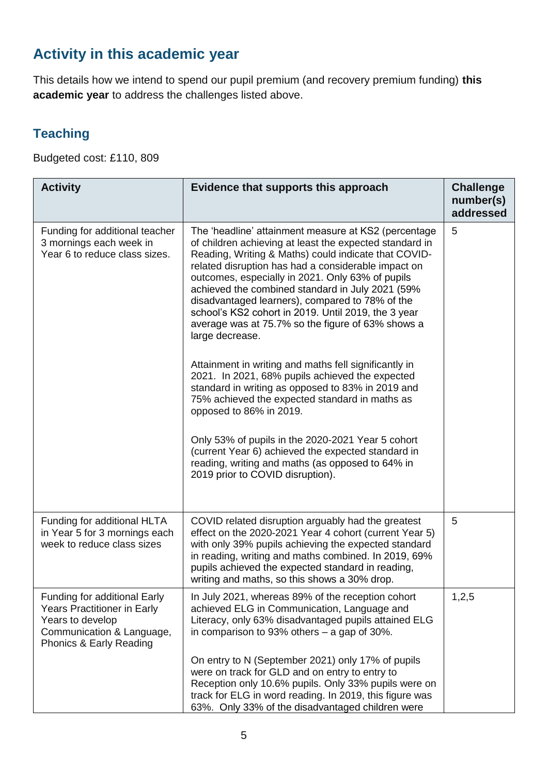# **Activity in this academic year**

This details how we intend to spend our pupil premium (and recovery premium funding) **this academic year** to address the challenges listed above.

### **Teaching**

Budgeted cost: £110, 809

| <b>Activity</b>                                                                                                                         | Evidence that supports this approach                                                                                                                                                                                                                                                                                                                                                                                                                                                                                                                                              | <b>Challenge</b><br>number(s)<br>addressed |
|-----------------------------------------------------------------------------------------------------------------------------------------|-----------------------------------------------------------------------------------------------------------------------------------------------------------------------------------------------------------------------------------------------------------------------------------------------------------------------------------------------------------------------------------------------------------------------------------------------------------------------------------------------------------------------------------------------------------------------------------|--------------------------------------------|
| Funding for additional teacher<br>3 mornings each week in<br>Year 6 to reduce class sizes.                                              | The 'headline' attainment measure at KS2 (percentage<br>of children achieving at least the expected standard in<br>Reading, Writing & Maths) could indicate that COVID-<br>related disruption has had a considerable impact on<br>outcomes, especially in 2021. Only 63% of pupils<br>achieved the combined standard in July 2021 (59%<br>disadvantaged learners), compared to 78% of the<br>school's KS2 cohort in 2019. Until 2019, the 3 year<br>average was at 75.7% so the figure of 63% shows a<br>large decrease.<br>Attainment in writing and maths fell significantly in | 5                                          |
|                                                                                                                                         | 2021. In 2021, 68% pupils achieved the expected<br>standard in writing as opposed to 83% in 2019 and<br>75% achieved the expected standard in maths as<br>opposed to 86% in 2019.<br>Only 53% of pupils in the 2020-2021 Year 5 cohort<br>(current Year 6) achieved the expected standard in<br>reading, writing and maths (as opposed to 64% in<br>2019 prior to COVID disruption).                                                                                                                                                                                              |                                            |
|                                                                                                                                         |                                                                                                                                                                                                                                                                                                                                                                                                                                                                                                                                                                                   |                                            |
| Funding for additional HLTA<br>in Year 5 for 3 mornings each<br>week to reduce class sizes                                              | COVID related disruption arguably had the greatest<br>effect on the 2020-2021 Year 4 cohort (current Year 5)<br>with only 39% pupils achieving the expected standard<br>in reading, writing and maths combined. In 2019, 69%<br>pupils achieved the expected standard in reading,<br>writing and maths, so this shows a 30% drop.                                                                                                                                                                                                                                                 | 5                                          |
| Funding for additional Early<br>Years Practitioner in Early<br>Years to develop<br>Communication & Language,<br>Phonics & Early Reading | In July 2021, whereas 89% of the reception cohort<br>achieved ELG in Communication, Language and<br>Literacy, only 63% disadvantaged pupils attained ELG<br>in comparison to 93% others $-$ a gap of 30%.                                                                                                                                                                                                                                                                                                                                                                         | 1,2,5                                      |
|                                                                                                                                         | On entry to N (September 2021) only 17% of pupils<br>were on track for GLD and on entry to entry to<br>Reception only 10.6% pupils. Only 33% pupils were on<br>track for ELG in word reading. In 2019, this figure was<br>63%. Only 33% of the disadvantaged children were                                                                                                                                                                                                                                                                                                        |                                            |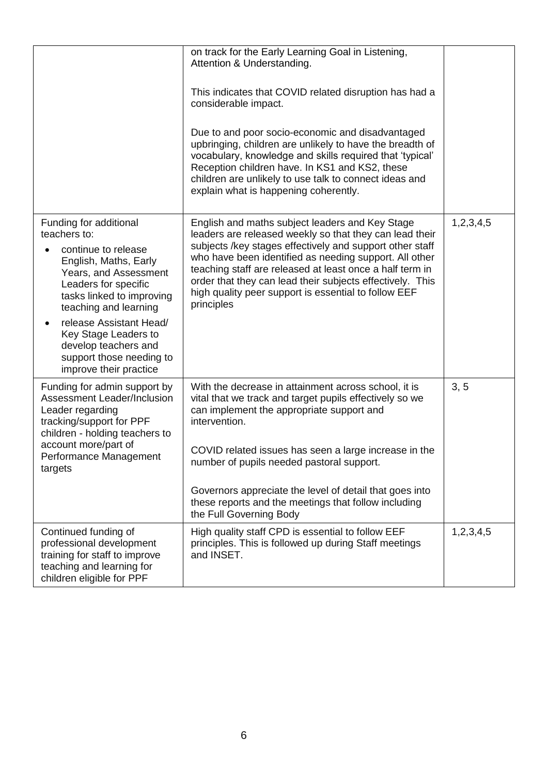|                                                                                                                                                                                                                                                                                                                                | on track for the Early Learning Goal in Listening,<br>Attention & Understanding.                                                                                                                                                                                                                                                                                                                                                  |           |
|--------------------------------------------------------------------------------------------------------------------------------------------------------------------------------------------------------------------------------------------------------------------------------------------------------------------------------|-----------------------------------------------------------------------------------------------------------------------------------------------------------------------------------------------------------------------------------------------------------------------------------------------------------------------------------------------------------------------------------------------------------------------------------|-----------|
|                                                                                                                                                                                                                                                                                                                                | This indicates that COVID related disruption has had a<br>considerable impact.                                                                                                                                                                                                                                                                                                                                                    |           |
|                                                                                                                                                                                                                                                                                                                                | Due to and poor socio-economic and disadvantaged<br>upbringing, children are unlikely to have the breadth of<br>vocabulary, knowledge and skills required that 'typical'<br>Reception children have. In KS1 and KS2, these<br>children are unlikely to use talk to connect ideas and<br>explain what is happening coherently.                                                                                                     |           |
| Funding for additional<br>teachers to:<br>continue to release<br>English, Maths, Early<br>Years, and Assessment<br>Leaders for specific<br>tasks linked to improving<br>teaching and learning<br>release Assistant Head/<br>Key Stage Leaders to<br>develop teachers and<br>support those needing to<br>improve their practice | English and maths subject leaders and Key Stage<br>leaders are released weekly so that they can lead their<br>subjects /key stages effectively and support other staff<br>who have been identified as needing support. All other<br>teaching staff are released at least once a half term in<br>order that they can lead their subjects effectively. This<br>high quality peer support is essential to follow EEF<br>principles   | 1,2,3,4,5 |
| Funding for admin support by<br>Assessment Leader/Inclusion<br>Leader regarding<br>tracking/support for PPF<br>children - holding teachers to<br>account more/part of<br>Performance Management<br>targets                                                                                                                     | With the decrease in attainment across school, it is<br>vital that we track and target pupils effectively so we<br>can implement the appropriate support and<br>intervention.<br>COVID related issues has seen a large increase in the<br>number of pupils needed pastoral support.<br>Governors appreciate the level of detail that goes into<br>these reports and the meetings that follow including<br>the Full Governing Body | 3, 5      |
| Continued funding of<br>professional development<br>training for staff to improve<br>teaching and learning for<br>children eligible for PPF                                                                                                                                                                                    | High quality staff CPD is essential to follow EEF<br>principles. This is followed up during Staff meetings<br>and INSET.                                                                                                                                                                                                                                                                                                          | 1,2,3,4,5 |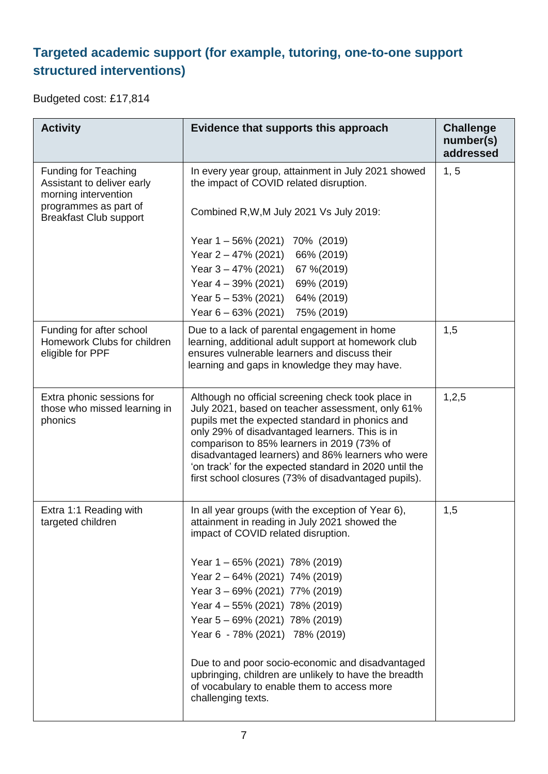# **Targeted academic support (for example, tutoring, one-to-one support structured interventions)**

Budgeted cost: £17,814

| <b>Activity</b>                                                                   | Evidence that supports this approach                                                                                                                                                                                                                                                                                                                                                                                             | <b>Challenge</b><br>number(s)<br>addressed |
|-----------------------------------------------------------------------------------|----------------------------------------------------------------------------------------------------------------------------------------------------------------------------------------------------------------------------------------------------------------------------------------------------------------------------------------------------------------------------------------------------------------------------------|--------------------------------------------|
| <b>Funding for Teaching</b><br>Assistant to deliver early<br>morning intervention | In every year group, attainment in July 2021 showed<br>the impact of COVID related disruption.                                                                                                                                                                                                                                                                                                                                   | 1, 5                                       |
| programmes as part of<br><b>Breakfast Club support</b>                            | Combined R, W, M July 2021 Vs July 2019:                                                                                                                                                                                                                                                                                                                                                                                         |                                            |
|                                                                                   | Year 1-56% (2021) 70% (2019)                                                                                                                                                                                                                                                                                                                                                                                                     |                                            |
|                                                                                   | Year 2 – 47% (2021)<br>66% (2019)                                                                                                                                                                                                                                                                                                                                                                                                |                                            |
|                                                                                   | Year $3 - 47\%$ (2021) 67 %(2019)                                                                                                                                                                                                                                                                                                                                                                                                |                                            |
|                                                                                   | 69% (2019)<br>Year 4 – 39% (2021)                                                                                                                                                                                                                                                                                                                                                                                                |                                            |
|                                                                                   | 64% (2019)<br>Year $5 - 53\%$ (2021)                                                                                                                                                                                                                                                                                                                                                                                             |                                            |
|                                                                                   | 75% (2019)<br>Year $6 - 63\%$ (2021)                                                                                                                                                                                                                                                                                                                                                                                             |                                            |
| Funding for after school<br>Homework Clubs for children<br>eligible for PPF       | Due to a lack of parental engagement in home<br>learning, additional adult support at homework club<br>ensures vulnerable learners and discuss their<br>learning and gaps in knowledge they may have.                                                                                                                                                                                                                            | 1,5                                        |
| Extra phonic sessions for<br>those who missed learning in<br>phonics              | Although no official screening check took place in<br>July 2021, based on teacher assessment, only 61%<br>pupils met the expected standard in phonics and<br>only 29% of disadvantaged learners. This is in<br>comparison to 85% learners in 2019 (73% of<br>disadvantaged learners) and 86% learners who were<br>'on track' for the expected standard in 2020 until the<br>first school closures (73% of disadvantaged pupils). | 1,2,5                                      |
| Extra 1:1 Reading with<br>targeted children                                       | In all year groups (with the exception of Year 6),<br>attainment in reading in July 2021 showed the<br>impact of COVID related disruption.                                                                                                                                                                                                                                                                                       | 1,5                                        |
|                                                                                   | Year 1-65% (2021) 78% (2019)                                                                                                                                                                                                                                                                                                                                                                                                     |                                            |
|                                                                                   | Year 2 - 64% (2021) 74% (2019)                                                                                                                                                                                                                                                                                                                                                                                                   |                                            |
|                                                                                   | Year 3 - 69% (2021) 77% (2019)                                                                                                                                                                                                                                                                                                                                                                                                   |                                            |
|                                                                                   | Year 4 - 55% (2021) 78% (2019)                                                                                                                                                                                                                                                                                                                                                                                                   |                                            |
|                                                                                   | Year 5 - 69% (2021) 78% (2019)                                                                                                                                                                                                                                                                                                                                                                                                   |                                            |
|                                                                                   | Year 6 - 78% (2021) 78% (2019)                                                                                                                                                                                                                                                                                                                                                                                                   |                                            |
|                                                                                   | Due to and poor socio-economic and disadvantaged<br>upbringing, children are unlikely to have the breadth<br>of vocabulary to enable them to access more<br>challenging texts.                                                                                                                                                                                                                                                   |                                            |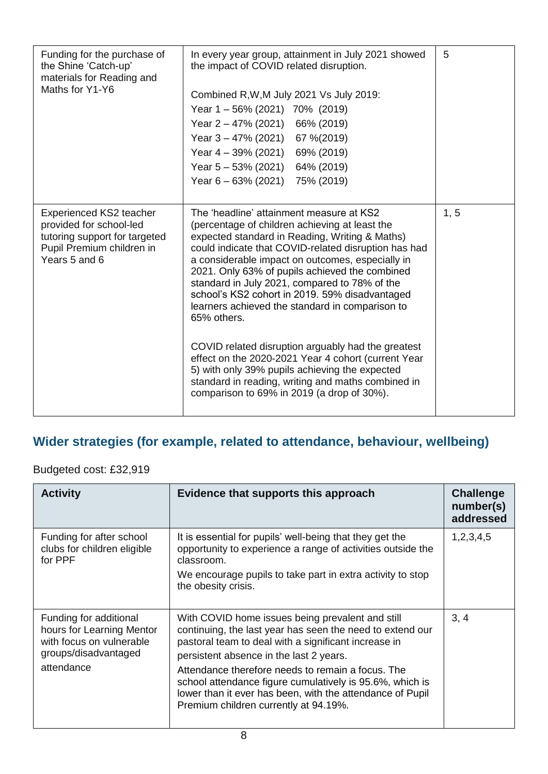| Funding for the purchase of<br>the Shine 'Catch-up'<br>materials for Reading and<br>Maths for Y1-Y6                                      | In every year group, attainment in July 2021 showed<br>the impact of COVID related disruption.<br>Combined R, W, M July 2021 Vs July 2019:<br>Year 1-56% (2021) 70% (2019)<br>Year $2 - 47\%$ (2021) 66% (2019)<br>Year $3 - 47\%$ (2021) 67 % (2019)<br>Year $4 - 39\%$ (2021) 69% (2019)<br>Year $5 - 53\%$ (2021) 64% (2019)<br>Year $6 - 63\%$ (2021) 75% (2019)                                                                                                                                                                                                                                                                                                                                                                               | 5    |
|------------------------------------------------------------------------------------------------------------------------------------------|----------------------------------------------------------------------------------------------------------------------------------------------------------------------------------------------------------------------------------------------------------------------------------------------------------------------------------------------------------------------------------------------------------------------------------------------------------------------------------------------------------------------------------------------------------------------------------------------------------------------------------------------------------------------------------------------------------------------------------------------------|------|
| <b>Experienced KS2 teacher</b><br>provided for school-led<br>tutoring support for targeted<br>Pupil Premium children in<br>Years 5 and 6 | The 'headline' attainment measure at KS2<br>(percentage of children achieving at least the<br>expected standard in Reading, Writing & Maths)<br>could indicate that COVID-related disruption has had<br>a considerable impact on outcomes, especially in<br>2021. Only 63% of pupils achieved the combined<br>standard in July 2021, compared to 78% of the<br>school's KS2 cohort in 2019. 59% disadvantaged<br>learners achieved the standard in comparison to<br>65% others.<br>COVID related disruption arguably had the greatest<br>effect on the 2020-2021 Year 4 cohort (current Year<br>5) with only 39% pupils achieving the expected<br>standard in reading, writing and maths combined in<br>comparison to 69% in 2019 (a drop of 30%). | 1, 5 |

# **Wider strategies (for example, related to attendance, behaviour, wellbeing)**

### Budgeted cost: £32,919

| <b>Activity</b>                                                                                                       | Evidence that supports this approach                                                                                                                                                                                                                                                                                                                                                                                                    | <b>Challenge</b><br>number(s)<br>addressed |
|-----------------------------------------------------------------------------------------------------------------------|-----------------------------------------------------------------------------------------------------------------------------------------------------------------------------------------------------------------------------------------------------------------------------------------------------------------------------------------------------------------------------------------------------------------------------------------|--------------------------------------------|
| Funding for after school<br>clubs for children eligible<br>for PPF                                                    | It is essential for pupils' well-being that they get the<br>opportunity to experience a range of activities outside the<br>classroom.<br>We encourage pupils to take part in extra activity to stop<br>the obesity crisis.                                                                                                                                                                                                              | 1,2,3,4,5                                  |
| Funding for additional<br>hours for Learning Mentor<br>with focus on vulnerable<br>groups/disadvantaged<br>attendance | With COVID home issues being prevalent and still<br>continuing, the last year has seen the need to extend our<br>pastoral team to deal with a significant increase in<br>persistent absence in the last 2 years.<br>Attendance therefore needs to remain a focus. The<br>school attendance figure cumulatively is 95.6%, which is<br>lower than it ever has been, with the attendance of Pupil<br>Premium children currently at 94.19%. | 3, 4                                       |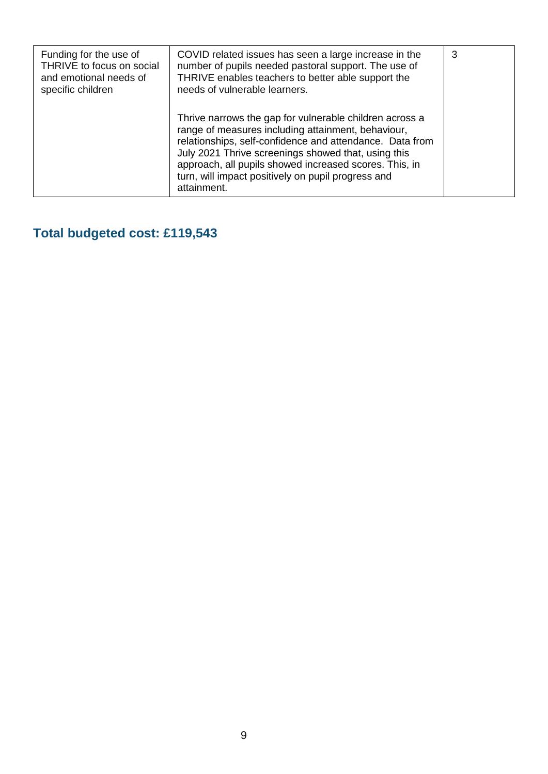| Funding for the use of<br>THRIVE to focus on social<br>and emotional needs of<br>specific children | COVID related issues has seen a large increase in the<br>number of pupils needed pastoral support. The use of<br>THRIVE enables teachers to better able support the<br>needs of vulnerable learners.                                                                                                                                                            | 3 |
|----------------------------------------------------------------------------------------------------|-----------------------------------------------------------------------------------------------------------------------------------------------------------------------------------------------------------------------------------------------------------------------------------------------------------------------------------------------------------------|---|
|                                                                                                    | Thrive narrows the gap for vulnerable children across a<br>range of measures including attainment, behaviour,<br>relationships, self-confidence and attendance. Data from<br>July 2021 Thrive screenings showed that, using this<br>approach, all pupils showed increased scores. This, in<br>turn, will impact positively on pupil progress and<br>attainment. |   |

# **Total budgeted cost: £119,543**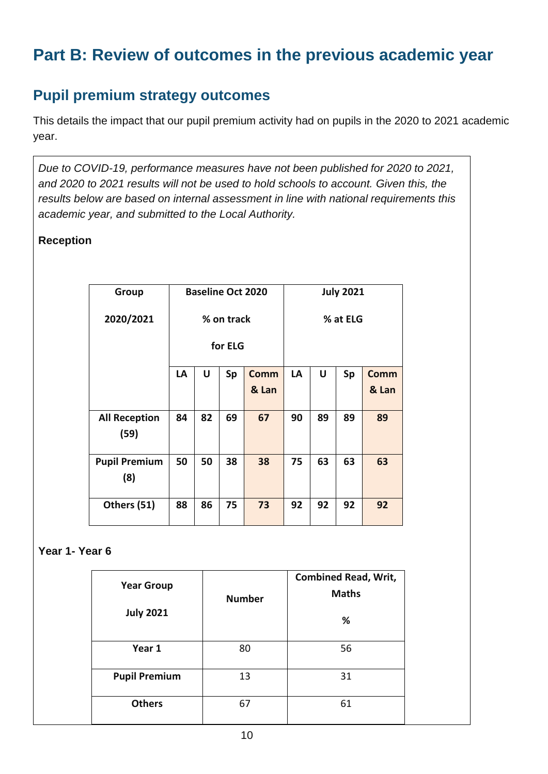# **Part B: Review of outcomes in the previous academic year**

# **Pupil premium strategy outcomes**

This details the impact that our pupil premium activity had on pupils in the 2020 to 2021 academic year.

*Due to COVID-19, performance measures have not been published for 2020 to 2021, and 2020 to 2021 results will not be used to hold schools to account. Given this, the results below are based on internal assessment in line with national requirements this academic year, and submitted to the Local Authority.* 

#### **Reception**

| Group                        |            |    |    | <b>Baseline Oct 2020</b> |    |          | <b>July 2021</b> |             |
|------------------------------|------------|----|----|--------------------------|----|----------|------------------|-------------|
| 2020/2021                    | % on track |    |    |                          |    | % at ELG |                  |             |
|                              | for ELG    |    |    |                          |    |          |                  |             |
|                              | LA         | U  | Sp | <b>Comm</b>              | LA | U        | Sp               | <b>Comm</b> |
|                              |            |    |    | & Lan                    |    |          |                  | & Lan       |
| <b>All Reception</b><br>(59) | 84         | 82 | 69 | 67                       | 90 | 89       | 89               | 89          |
| <b>Pupil Premium</b><br>(8)  | 50         | 50 | 38 | 38                       | 75 | 63       | 63               | 63          |
| Others (51)                  | 88         | 86 | 75 | 73                       | 92 | 92       | 92               | 92          |

#### **Year 1- Year 6**

| <b>Year Group</b><br><b>July 2021</b> | <b>Number</b> | <b>Combined Read, Writ,</b><br><b>Maths</b><br>% |
|---------------------------------------|---------------|--------------------------------------------------|
| Year 1                                | 80            | 56                                               |
| <b>Pupil Premium</b>                  | 13            | 31                                               |
| <b>Others</b>                         | 67            | 61                                               |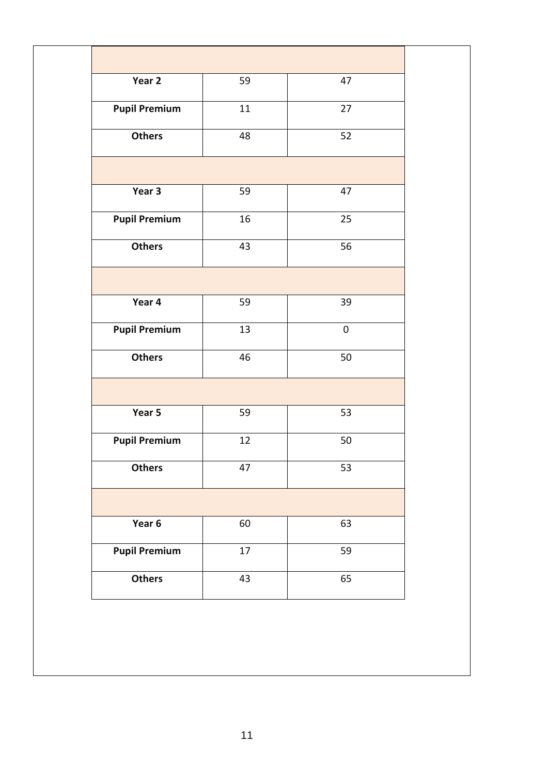| Year 2               | 59     | 47        |
|----------------------|--------|-----------|
| <b>Pupil Premium</b> | 11     | 27        |
| <b>Others</b>        | 48     | 52        |
|                      |        |           |
| Year 3               | 59     | 47        |
| <b>Pupil Premium</b> | 16     | 25        |
| <b>Others</b>        | 43     | 56        |
|                      |        |           |
| Year 4               | 59     | 39        |
| <b>Pupil Premium</b> | 13     | $\pmb{0}$ |
| <b>Others</b>        | 46     | 50        |
|                      |        |           |
| Year 5               | 59     | 53        |
| <b>Pupil Premium</b> | 12     | 50        |
| <b>Others</b>        | 47     | 53        |
|                      |        |           |
| Year 6               | 60     | 63        |
| <b>Pupil Premium</b> | $17\,$ | 59        |
| <b>Others</b>        | 43     | 65        |
|                      |        |           |